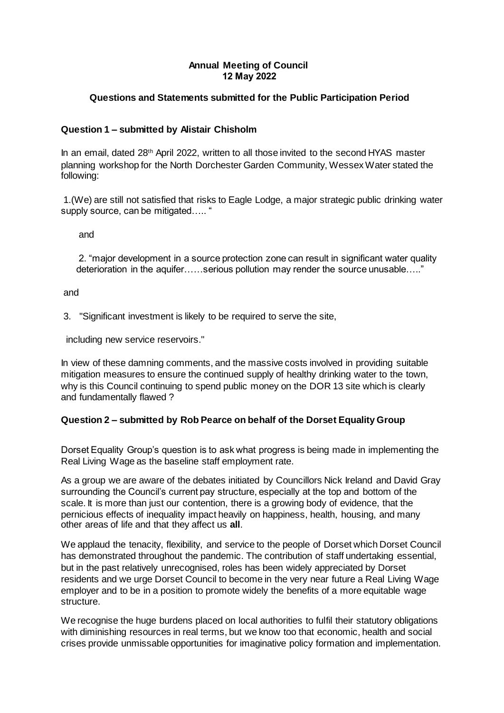## **Annual Meeting of Council 12 May 2022**

# **Questions and Statements submitted for the Public Participation Period**

## **Question 1 – submitted by Alistair Chisholm**

In an email, dated 28th April 2022, written to all those invited to the second HYAS master planning workshop for the North Dorchester Garden Community, Wessex Water stated the following:

1.(We) are still not satisfied that risks to Eagle Lodge, a major strategic public drinking water supply source, can be mitigated..... "

and

2. "major development in a source protection zone can result in significant water quality deterioration in the aquifer……serious pollution may render the source unusable….."

and

3. "Significant investment is likely to be required to serve the site,

including new service reservoirs."

In view of these damning comments, and the massive costs involved in providing suitable mitigation measures to ensure the continued supply of healthy drinking water to the town, why is this Council continuing to spend public money on the DOR 13 site which is clearly and fundamentally flawed ?

### **Question 2 – submitted by Rob Pearce on behalf of the Dorset Equality Group**

Dorset Equality Group's question is to ask what progress is being made in implementing the Real Living Wage as the baseline staff employment rate.

As a group we are aware of the debates initiated by Councillors Nick Ireland and David Gray surrounding the Council's current pay structure, especially at the top and bottom of the scale. It is more than just our contention, there is a growing body of evidence, that the pernicious effects of inequality impact heavily on happiness, health, housing, and many other areas of life and that they affect us **all**.

We applaud the tenacity, flexibility, and service to the people of Dorset which Dorset Council has demonstrated throughout the pandemic. The contribution of staff undertaking essential, but in the past relatively unrecognised, roles has been widely appreciated by Dorset residents and we urge Dorset Council to become in the very near future a Real Living Wage employer and to be in a position to promote widely the benefits of a more equitable wage structure.

We recognise the huge burdens placed on local authorities to fulfil their statutory obligations with diminishing resources in real terms, but we know too that economic, health and social crises provide unmissable opportunities for imaginative policy formation and implementation.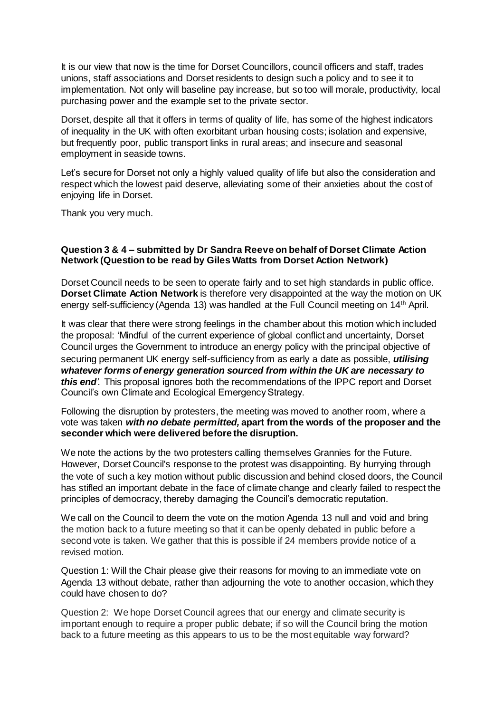It is our view that now is the time for Dorset Councillors, council officers and staff, trades unions, staff associations and Dorset residents to design such a policy and to see it to implementation. Not only will baseline pay increase, but so too will morale, productivity, local purchasing power and the example set to the private sector.

Dorset, despite all that it offers in terms of quality of life, has some of the highest indicators of inequality in the UK with often exorbitant urban housing costs; isolation and expensive, but frequently poor, public transport links in rural areas; and insecure and seasonal employment in seaside towns.

Let's secure for Dorset not only a highly valued quality of life but also the consideration and respect which the lowest paid deserve, alleviating some of their anxieties about the cost of enjoying life in Dorset.

Thank you very much.

#### **Question 3 & 4 – submitted by Dr Sandra Reeve on behalf of Dorset Climate Action Network (Question to be read by Giles Watts from Dorset Action Network)**

Dorset Council needs to be seen to operate fairly and to set high standards in public office. **Dorset Climate Action Network** is therefore very disappointed at the way the motion on UK energy self-sufficiency (Agenda 13) was handled at the Full Council meeting on 14th April.

It was clear that there were strong feelings in the chamber about this motion which included the proposal: 'Mindful of the current experience of global conflict and uncertainty, Dorset Council urges the Government to introduce an energy policy with the principal objective of securing permanent UK energy self-sufficiency from as early a date as possible, *utilising whatever forms of energy generation sourced from within the UK are necessary to this end'.* This proposal ignores both the recommendations of the IPPC report and Dorset Council's own Climate and Ecological Emergency Strategy.

Following the disruption by protesters, the meeting was moved to another room, where a vote was taken *with no debate permitted,* **apart from the words of the proposer and the seconder which were delivered before the disruption.** 

We note the actions by the two protesters calling themselves Grannies for the Future. However, Dorset Council's response to the protest was disappointing. By hurrying through the vote of such a key motion without public discussion and behind closed doors, the Council has stifled an important debate in the face of climate change and clearly failed to respect the principles of democracy, thereby damaging the Council's democratic reputation.

We call on the Council to deem the vote on the motion Agenda 13 null and void and bring the motion back to a future meeting so that it can be openly debated in public before a second vote is taken. We gather that this is possible if 24 members provide notice of a revised motion.

Question 1: Will the Chair please give their reasons for moving to an immediate vote on Agenda 13 without debate, rather than adjourning the vote to another occasion, which they could have chosen to do?

Question 2:We hope Dorset Council agrees that our energy and climate security is important enough to require a proper public debate; if so will the Council bring the motion back to a future meeting as this appears to us to be the most equitable way forward?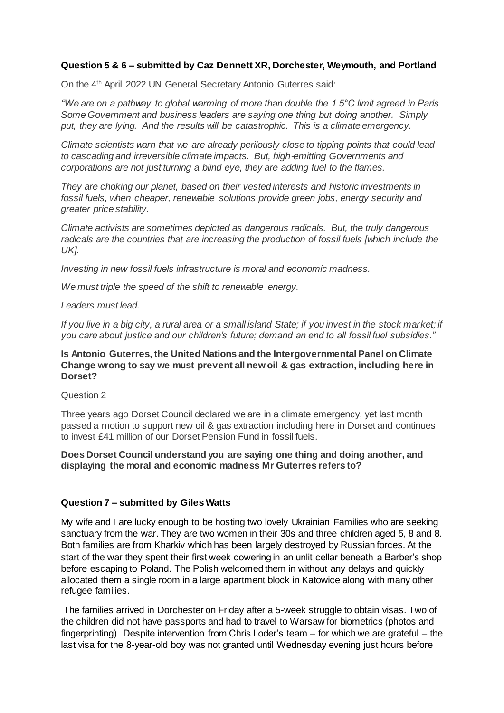# **Question 5 & 6 – submitted by Caz Dennett XR, Dorchester, Weymouth, and Portland**

On the 4th April 2022 UN General Secretary Antonio Guterres said:

*"We are on a pathway to global warming of more than double the 1.5°C limit agreed in Paris. Some Government and business leaders are saying one thing but doing another. Simply put, they are lying. And the results will be catastrophic. This is a climate emergency.*

*Climate scientists warn that we are already perilously close to tipping points that could lead to cascading and irreversible climate impacts. But, high*‑*emitting Governments and corporations are not just turning a blind eye, they are adding fuel to the flames.*

*They are choking our planet, based on their vested interests and historic investments in fossil fuels, when cheaper, renewable solutions provide green jobs, energy security and greater price stability.*

*Climate activists are sometimes depicted as dangerous radicals. But, the truly dangerous radicals are the countries that are increasing the production of fossil fuels [which include the UK].*

*Investing in new fossil fuels infrastructure is moral and economic madness.* 

*We must triple the speed of the shift to renewable energy.* 

*Leaders must lead.* 

*If you live in a big city, a rural area or a small island State; if you invest in the stock market; if you care about justice and our children's future; demand an end to all fossil fuel subsidies."*

### **Is Antonio Guterres, the United Nations and the Intergovernmental Panel on Climate Change wrong to say we must prevent all new oil & gas extraction, including here in Dorset?**

Question 2

Three years ago Dorset Council declared we are in a climate emergency, yet last month passed a motion to support new oil & gas extraction including here in Dorset and continues to invest £41 million of our Dorset Pension Fund in fossil fuels.

### **Does Dorset Council understand you are saying one thing and doing another, and displaying the moral and economic madness Mr Guterres refers to?**

### **Question 7 – submitted by Giles Watts**

My wife and I are lucky enough to be hosting two lovely Ukrainian Families who are seeking sanctuary from the war. They are two women in their 30s and three children aged 5, 8 and 8. Both families are from Kharkiv which has been largely destroyed by Russian forces. At the start of the war they spent their first week cowering in an unlit cellar beneath a Barber's shop before escaping to Poland. The Polish welcomed them in without any delays and quickly allocated them a single room in a large apartment block in Katowice along with many other refugee families.

The families arrived in Dorchester on Friday after a 5-week struggle to obtain visas. Two of the children did not have passports and had to travel to Warsaw for biometrics (photos and fingerprinting). Despite intervention from Chris Loder's team – for which we are grateful – the last visa for the 8-year-old boy was not granted until Wednesday evening just hours before